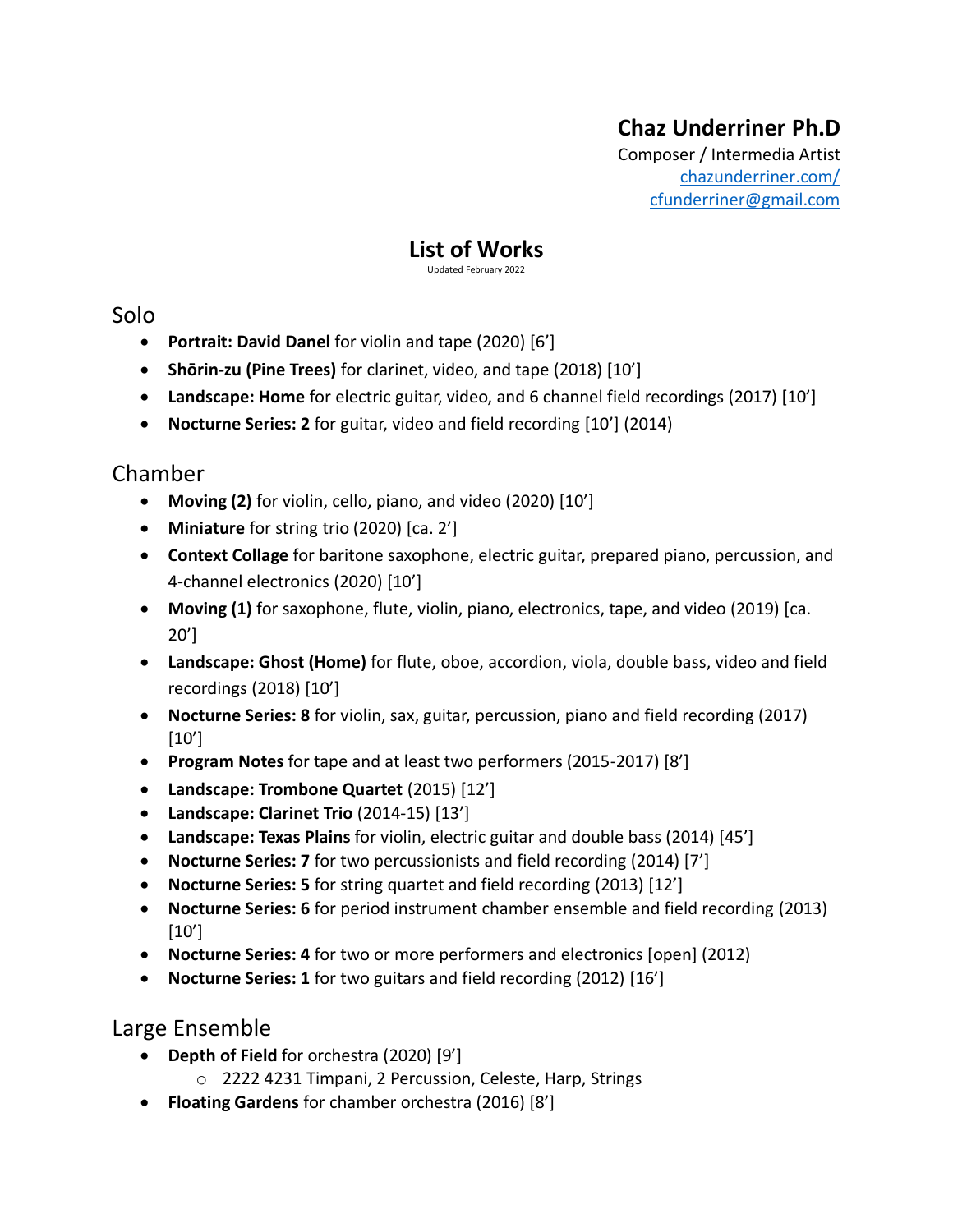# **Chaz Underriner Ph.D**

Composer / Intermedia Artist [chazunderriner.com/](http://chazunderriner.com/) [cfunderriner@gmail.com](mailto:cfunderriner@gmail.com)

# **List of Works**

Updated February 2022

## Solo

- **Portrait: David Danel** for violin and tape (2020) [6']
- **Shōrin-zu (Pine Trees)** for clarinet, video, and tape (2018) [10']
- **Landscape: Home** for electric guitar, video, and 6 channel field recordings (2017) [10']
- **Nocturne Series: 2** for guitar, video and field recording [10'] (2014)

## Chamber

- **Moving (2)** for violin, cello, piano, and video (2020) [10']
- **Miniature** for string trio (2020) [ca. 2']
- **Context Collage** for baritone saxophone, electric guitar, prepared piano, percussion, and 4-channel electronics (2020) [10']
- **Moving (1)** for saxophone, flute, violin, piano, electronics, tape, and video (2019) [ca. 20']
- **Landscape: Ghost (Home)** for flute, oboe, accordion, viola, double bass, video and field recordings (2018) [10']
- **Nocturne Series: 8** for violin, sax, guitar, percussion, piano and field recording (2017)  $[10']$
- **Program Notes** for tape and at least two performers (2015-2017) [8']
- **Landscape: Trombone Quartet** (2015) [12']
- **Landscape: Clarinet Trio** (2014-15) [13']
- **Landscape: Texas Plains** for violin, electric guitar and double bass (2014) [45']
- **Nocturne Series: 7** for two percussionists and field recording (2014) [7']
- **Nocturne Series: 5** for string quartet and field recording (2013) [12']
- **Nocturne Series: 6** for period instrument chamber ensemble and field recording (2013) [10']
- **Nocturne Series: 4** for two or more performers and electronics [open] (2012)
- **Nocturne Series: 1** for two guitars and field recording (2012) [16']

## Large Ensemble

- **Depth of Field** for orchestra (2020) [9']
	- o 2222 4231 Timpani, 2 Percussion, Celeste, Harp, Strings
- **Floating Gardens** for chamber orchestra (2016) [8']